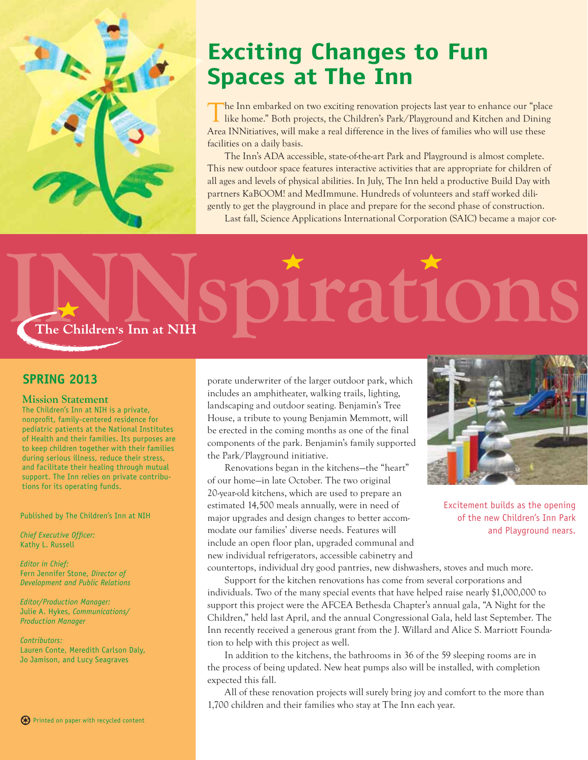

# **Exciting Changes to Fun Spaces at The Inn**

The Inn embarked on two exciting renovation projects last year to enhance our "place like home." Both projects, the Children's Park/Playground and Kitchen and Dining Area INNitiatives, will make a real difference in the lives of families who will use these facilities on a daily basis.

The Inn's ADA accessible, state-of-the-art Park and Playground is almost complete. This new outdoor space features interactive activities that are appropriate for children of all ages and levels of physical abilities. In July, The Inn held a productive Build Day with partners KaBOOM! and MedImmune. Hundreds of volunteers and staff worked diligently to get the playground in place and prepare for the second phase of construction. Last fall, Science Applications International Corporation (SAIC) became a major cor-

# rations The Children's Inn at NIH

## **SPRING 2013**

#### **Mission Statement**

The Children's Inn at NIH is a private, nonprofit, family-centered residence for pediatric patients at the National Institutes of Health and their families. Its purposes are to keep children together with their families during serious illness, reduce their stress, and facilitate their healing through mutual support. The Inn relies on private contributions for its operating funds.

Published by The Children's Inn at NIH

*Chief Executive Officer:* Kathy L. Russell

*Editor in Chief:* Fern Jennifer Stone, *Director of Development and Public Relations*

*Editor/Production Manager:* Julie A. Hykes, *Communications/ Production Manager*

*Contributors:* Lauren Conte, Meredith Carlson Daly, Jo Jamison, and Lucy Seagraves

porate underwriter of the larger outdoor park, which includes an amphitheater, walking trails, lighting, landscaping and outdoor seating. Benjamin's Tree House, a tribute to young Benjamin Memmott, will be erected in the coming months as one of the final components of the park. Benjamin's family supported the Park/Playground initiative.

Renovations began in the kitchens—the "heart" of our home—in late October. The two original 20-year-old kitchens, which are used to prepare an estimated 14,500 meals annually, were in need of major upgrades and design changes to better accommodate our families' diverse needs. Features will include an open floor plan, upgraded communal and new individual refrigerators, accessible cabinetry and countertops, individual dry good pantries, new dishwashers, stoves and much more.



Excitement builds as the opening of the new Children's Inn Park and Playground nears.

Support for the kitchen renovations has come from several corporations and individuals. Two of the many special events that have helped raise nearly \$1,000,000 to support this project were the AFCEA Bethesda Chapter's annual gala, "A Night for the Children," held last April, and the annual Congressional Gala, held last September. The Inn recently received a generous grant from the J. Willard and Alice S. Marriott Foundation to help with this project as well.

In addition to the kitchens, the bathrooms in 36 of the 59 sleeping rooms are in the process of being updated. New heat pumps also will be installed, with completion expected this fall.

All of these renovation projects will surely bring joy and comfort to the more than 1,700 children and their families who stay at The Inn each year.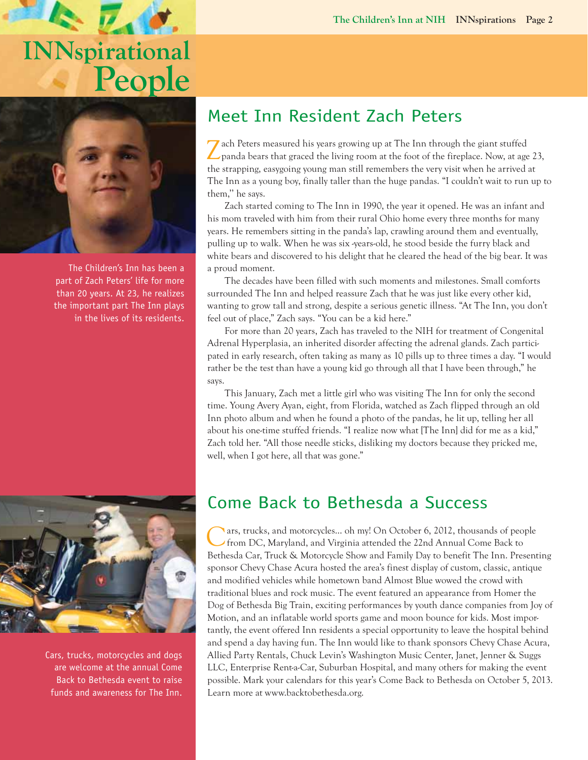# $\mathbf{v}$ **INNspirational People**



The Children's Inn has been a part of Zach Peters' life for more than 20 years. At 23, he realizes the important part The Inn plays in the lives of its residents.



Cars, trucks, motorcycles and dogs are welcome at the annual Come Back to Bethesda event to raise funds and awareness for The Inn.

# Meet Inn Resident Zach Peters

Zach Peters measured his years growing up at The Inn through the giant stuffed panda bears that graced the living room at the foot of the fireplace. Now, at age 23, the strapping, easygoing young man still remembers the very visit when he arrived at The Inn as a young boy, finally taller than the huge pandas. "I couldn't wait to run up to them,'' he says.

Zach started coming to The Inn in 1990, the year it opened. He was an infant and his mom traveled with him from their rural Ohio home every three months for many years. He remembers sitting in the panda's lap, crawling around them and eventually, pulling up to walk. When he was six -years-old, he stood beside the furry black and white bears and discovered to his delight that he cleared the head of the big bear. It was a proud moment.

The decades have been filled with such moments and milestones. Small comforts surrounded The Inn and helped reassure Zach that he was just like every other kid, wanting to grow tall and strong, despite a serious genetic illness. "At The Inn, you don't feel out of place," Zach says. "You can be a kid here."

For more than 20 years, Zach has traveled to the NIH for treatment of Congenital Adrenal Hyperplasia, an inherited disorder affecting the adrenal glands. Zach participated in early research, often taking as many as 10 pills up to three times a day. "I would rather be the test than have a young kid go through all that I have been through," he says.

This January, Zach met a little girl who was visiting The Inn for only the second time. Young Avery Ayan, eight, from Florida, watched as Zach flipped through an old Inn photo album and when he found a photo of the pandas, he lit up, telling her all about his one-time stuffed friends. "I realize now what [The Inn] did for me as a kid," Zach told her. "All those needle sticks, disliking my doctors because they pricked me, well, when I got here, all that was gone."

# Come Back to Bethesda a Success

Cars, trucks, and motorcycles… oh my! On October 6, 2012, thousands of people from DC, Maryland, and Virginia attended the 22nd Annual Come Back to Bethesda Car, Truck & Motorcycle Show and Family Day to benefit The Inn. Presenting sponsor Chevy Chase Acura hosted the area's finest display of custom, classic, antique and modified vehicles while hometown band Almost Blue wowed the crowd with traditional blues and rock music. The event featured an appearance from Homer the Dog of Bethesda Big Train, exciting performances by youth dance companies from Joy of Motion, and an inflatable world sports game and moon bounce for kids. Most importantly, the event offered Inn residents a special opportunity to leave the hospital behind and spend a day having fun. The Inn would like to thank sponsors Chevy Chase Acura, Allied Party Rentals, Chuck Levin's Washington Music Center, Janet, Jenner & Suggs LLC, Enterprise Rent-a-Car, Suburban Hospital, and many others for making the event possible. Mark your calendars for this year's Come Back to Bethesda on October 5, 2013. Learn more at www.backtobethesda.org.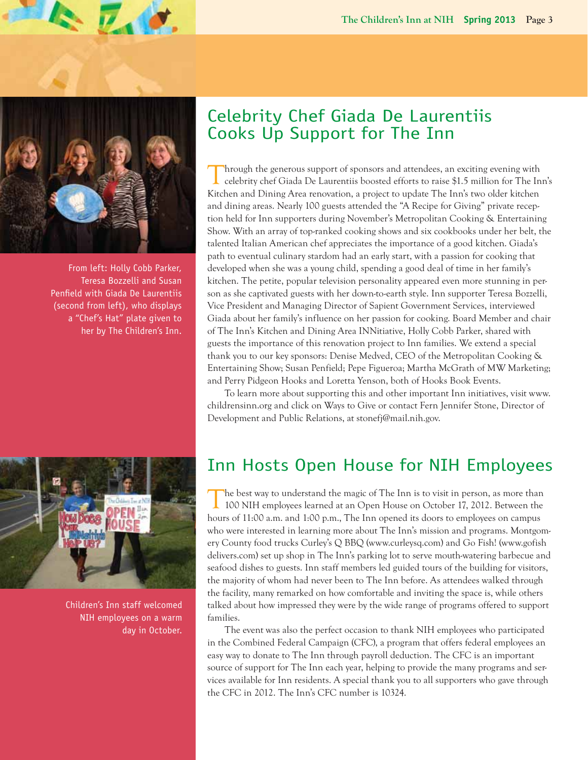

 $\mathcal{L}_{\bullet}$  o.

From left: Holly Cobb Parker, Teresa Bozzelli and Susan Penfield with Giada De Laurentiis (second from left), who displays a "Chef's Hat" plate given to her by The Children's Inn.

# Celebrity Chef Giada De Laurentiis Cooks Up Support for The Inn

Inrough the generous support of sponsors and attendees, an exciting evening with celebrity chef Giada De Laurentiis boosted efforts to raise \$1.5 million for The Inn's Kitchen and Dining Area renovation, a project to update The Inn's two older kitchen and dining areas. Nearly 100 guests attended the "A Recipe for Giving" private reception held for Inn supporters during November's Metropolitan Cooking & Entertaining Show. With an array of top-ranked cooking shows and six cookbooks under her belt, the talented Italian American chef appreciates the importance of a good kitchen. Giada's path to eventual culinary stardom had an early start, with a passion for cooking that developed when she was a young child, spending a good deal of time in her family's kitchen. The petite, popular television personality appeared even more stunning in person as she captivated guests with her down-to-earth style. Inn supporter Teresa Bozzelli, Vice President and Managing Director of Sapient Government Services, interviewed Giada about her family's influence on her passion for cooking. Board Member and chair of The Inn's Kitchen and Dining Area INNitiative, Holly Cobb Parker, shared with guests the importance of this renovation project to Inn families. We extend a special thank you to our key sponsors: Denise Medved, CEO of the Metropolitan Cooking & Entertaining Show; Susan Penfield; Pepe Figueroa; Martha McGrath of MW Marketing; and Perry Pidgeon Hooks and Loretta Yenson, both of Hooks Book Events.

To learn more about supporting this and other important Inn initiatives, visit www. childrensinn.org and click on Ways to Give or contact Fern Jennifer Stone, Director of Development and Public Relations, at stonefj@mail.nih.gov.



Children's Inn staff welcomed NIH employees on a warm day in October.

# Inn Hosts Open House for NIH Employees

The best way to understand the magic of The Inn is to visit in person, as more than 100 NIH employees learned at an Open House on October 17, 2012. Between the hours of 11:00 a.m. and 1:00 p.m., The Inn opened its doors to employees on campus who were interested in learning more about The Inn's mission and programs. Montgomery County food trucks Curley's Q BBQ (www.curleysq.com) and Go Fish! (www.gofishdelivers.com) set up shop in The Inn's parking lot to serve mouth-watering barbecue and seafood dishes to guests. Inn staff members led guided tours of the building for visitors, the majority of whom had never been to The Inn before. As attendees walked through the facility, many remarked on how comfortable and inviting the space is, while others talked about how impressed they were by the wide range of programs offered to support families.

The event was also the perfect occasion to thank NIH employees who participated in the Combined Federal Campaign (CFC), a program that offers federal employees an easy way to donate to The Inn through payroll deduction. The CFC is an important source of support for The Inn each year, helping to provide the many programs and services available for Inn residents. A special thank you to all supporters who gave through the CFC in 2012. The Inn's CFC number is 10324.